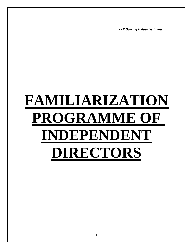*SKP Bearing Industries Limited*

# **FAMILIARIZATION PROGRAMME OF INDEPENDENT DIRECTORS**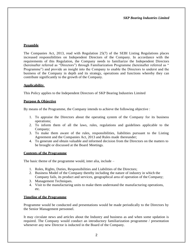# **Preamble**

The Companies Act, 2013, read with Regulation 25(7) of the SEBI Listing Regulations places increased responsibilities on Independent Directors of the Company. In accordance with the requirements of this Regulation, the Company needs to familiarize the Independent Directors (hereinafter referred as "Directors") through Familiarization Programme (hereinafter referred as " Programme") and provide an insight into the Company to enable the Directors to underst and the business of the Company in depth and its strategy, operations and functions whereby they can contribute significantly to the growth of the Company.

## **Applicability**

This Policy applies to the Independent Directors of SKP Bearing Industries Limited

## **Purpose & Objective**

By means of the Programme, the Company intends to achieve the following objective :

- 1. To appraise the Directors about the operating system of the Company for its business operations;
- 2. To inform them of all the laws, rules, regulations and guidelines applicable to the Company;
- 3. To make them aware of the rules, responsibilities, liabilities pursuant to the Listing Agreement and the Companies Act, 2013 and Rules made thereunder;
- 4. To generate and obtain valuable and informed decision from the Directors on the matters to be brought or discussed at the Board Meetings.

#### **Contents of the Programme**

The basic theme of the programme would, inter alia, include –

- 1. Roles, Rights, Duties, Responsibilities and Liabilities of the Directors;
- 2. Business Model of the Company thereby including the nature of industry in which the Company fails, its product and services, geographical area of operation of the Company;
- 3. Management Techniques.
- 4. Visit to the manufacturing units to make them understand the manufacturing operations, etc.

#### **Timeline of the Programme**

Programme would be conducted and presentations would be made periodically to the Directors by the Senior Management personnel.

It may circulate news and articles about the Industry and business as and when some updation is required. The Company would conduct an introductory familiarization programme / presentation whenever any new Director is inducted in the Board of the Company.